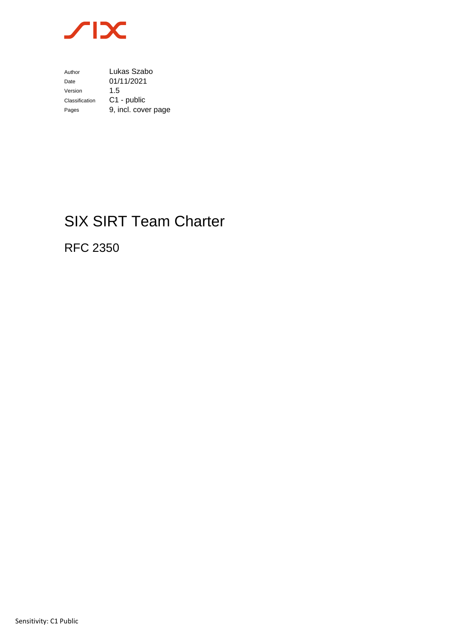

Author Lukas Szabo Date 01/11/2021<br>Version 1.5 Version Classification C1 - public Pages 9, incl. cover page

# SIX SIRT Team Charter

RFC 2350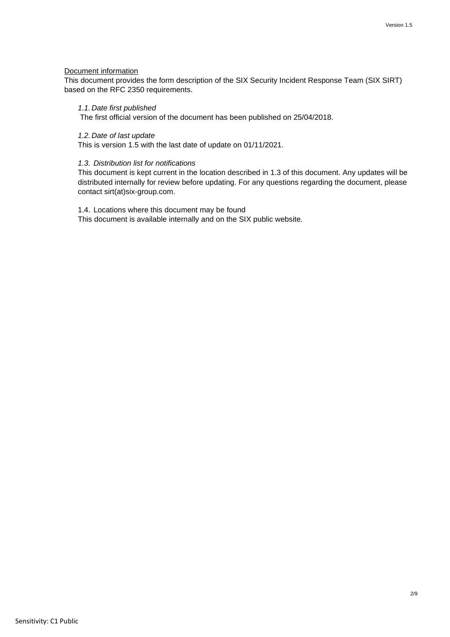## Document information

This document provides the form description of the SIX Security Incident Response Team (SIX SIRT) based on the RFC 2350 requirements.

#### *1.1. Date first published*

The first official version of the document has been published on 25/04/2018.

#### *1.2. Date of last update*

This is version 1.5 with the last date of update on 01/11/2021.

#### *1.3. Distribution list for notifications*

This document is kept current in the location described in 1.3 of this document. Any updates will be distributed internally for review before updating. For any questions regarding the document, please contact sirt(at)six-group.com.

1.4. Locations where this document may be found

This document is available internally and on the SIX public website.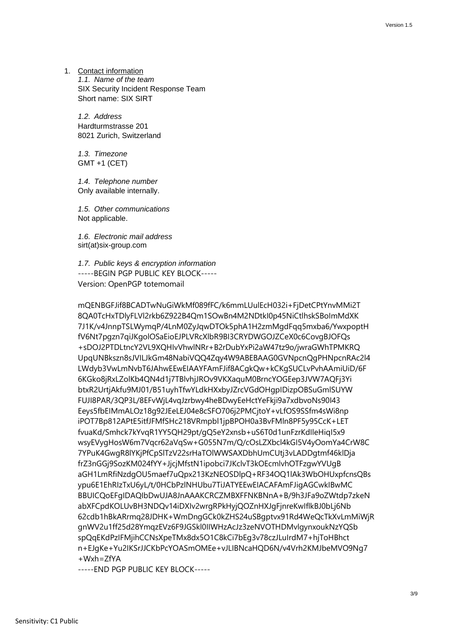1. Contact information *1.1. Name of the team* SIX Security Incident Response Team Short name: SIX SIRT

*1.2. Address* Hardturmstrasse 201 8021 Zurich, Switzerland

*1.3. Timezone* GMT +1 (CET)

*1.4. Telephone number* Only available internally.

*1.5. Other communications* Not applicable.

*1.6. Electronic mail address* sirt(at)six-group.com

*1.7. Public keys & encryption information* -----BEGIN PGP PUBLIC KEY BLOCK----- Version: OpenPGP totemomail

mQENBGFJif8BCADTwNuGiWkMf089fFC/k6mmLUulEcH032i+FjDetCPtYnvMMi2T 8QA0TcHxTDlyFLVl2rkb6Z922B4Qm1SOwBn4M2NDtkI0p45NiCtlhskSBoImMdXK 7J1K/v4JnnpTSLWymqP/4LnM0ZyJqwDTOk5phA1H2zmMgdFqq5mxba6/YwxpoptH fV6Nt7pgzn7qiJKgolOSaEioEJPLVRcXlbR9BI3CRYDWGOJZCeX0c6CovgBJOFQs +sDOJ2PTDLtncY2VL9XQHIvVhwlNRr+B2rDubYxPi2aW47tz9o/jwraGWhTPMKRQ UpqUNBkszn8sJVILJkGm48NabiVQQ4Zqy4W9ABEBAAG0GVNpcnQgPHNpcnRAc2l4 LWdyb3VwLmNvbT6JAhwEEwEIAAYFAmFJif8ACgkQw+kCKgSUCLvPvhAAmiUiD/6F 6KGko8jRxLZolKb4QN4d1j7TBlvhjJROv9VKXaquM0BrncYOGEep3JVW7AQFj3Yi btxR2UrtjAkfu9MJ01/B51uyhTfwYLdkHXxbyJZrcVGdOHgpIDizpOBSuGmlSUYW FUJI8PAR/3QP3L/8EFvWjL4vqJzrbwy4heBDwyEeHctYeFkji9a7xdbvoNs90I43 Eeys5fbEIMmALOz18g92JEeLEJ04e8cSFO706j2PMCjtoY+vLfOS9SSfm4sWi8np iPOT7Bp812APtE5itfJFMfSHc218VRmpbl1jpBPOH0a3BvFMln8PF5y95CcK+LET fvuaKd/Smhck7kYvqR1YY5QH29pt/gQ5eY2xnsb+uS6T0d1unFzrKdIleHiqI5x9 wsyEVygHosW6m7Vqcr62aVqSw+G055N7m/Q/cOsLZXbcl4kGI5V4yOomYa4CrW8C 7YPuK4GwgR8lYKjPfCpSlTzV22srHaTOlWWSAXDbhUmCUtj3vLADDgtmf46klDja frZ3nGGj9SozKM024fYY+JjcjMfstN1ipobci7JKclvT3kOEcmlvhOTFzgwYVUgB aGH1LmRfiNzdgOU5maef7uQpx213KzNEOSDlpQ+RF34OQ1lAk3WbOHUxpfcnsQBs ypu6E1EhRIzTxU6yL/t/0HCbPzlNHUbu7TiJATYEEwEIACAFAmFJigAGCwkIBwMC BBUICQoEFgIDAQIbDwUJA8JnAAAKCRCZMBXFFNKBNnA+B/9h3JFa9oZWtdp7zkeN abXFCpdKOLUvBH3NDQv14iDXIv2wrgRPkHyjQOZnHXJgFjnreKwIflkBJ0bLj6Nb 62cdb1hBkARrmq28JDHK+WmDngGCk0kZHS24uSBgptvx91Rd4WeQcTkXvLmMiWjR gnWV2u1ff25d28YmqzEVz6F9JGSkl0IIWHzAcJz3zeNVOTHDMvlgynxoukNzYQSb spQqEKdPzIFMjihCCNsXpeTMx8dx5O1C8kCi7bEg3v78czJLuIrdM7+hjToHBhct n+EJgKe+Yu2IKSrJJCKbPcYOASmOMEe+vJLIBNcaHQD6N/v4Vrh2KMJbeMVO9Ng7 +Wxh=ZfYA

-----END PGP PUBLIC KEY BLOCK-----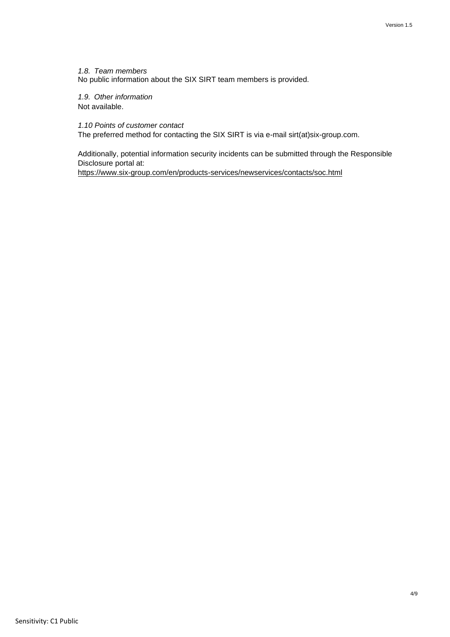*1.8. Team members* No public information about the SIX SIRT team members is provided.

*1.9. Other information* Not available.

*1.10 Points of customer contact*

The preferred method for contacting the SIX SIRT is via e-mail sirt(at)six-group.com.

Additionally, potential information security incidents can be submitted through the Responsible Disclosure portal at: <https://www.six-group.com/en/products-services/newservices/contacts/soc.html>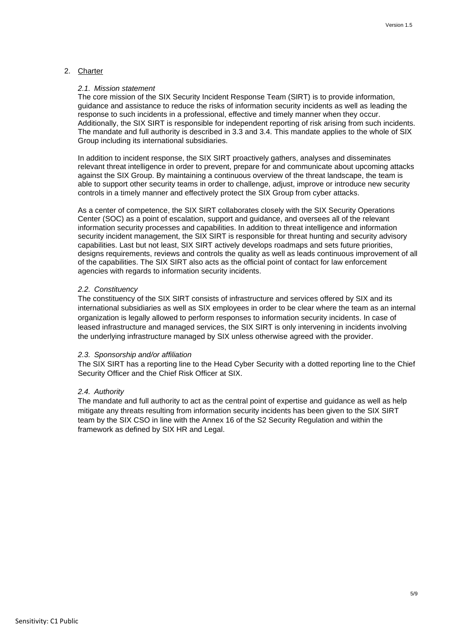## 2. Charter

#### *2.1. Mission statement*

The core mission of the SIX Security Incident Response Team (SIRT) is to provide information, guidance and assistance to reduce the risks of information security incidents as well as leading the response to such incidents in a professional, effective and timely manner when they occur. Additionally, the SIX SIRT is responsible for independent reporting of risk arising from such incidents. The mandate and full authority is described in 3.3 and 3.4. This mandate applies to the whole of SIX Group including its international subsidiaries.

In addition to incident response, the SIX SIRT proactively gathers, analyses and disseminates relevant threat intelligence in order to prevent, prepare for and communicate about upcoming attacks against the SIX Group. By maintaining a continuous overview of the threat landscape, the team is able to support other security teams in order to challenge, adjust, improve or introduce new security controls in a timely manner and effectively protect the SIX Group from cyber attacks.

As a center of competence, the SIX SIRT collaborates closely with the SIX Security Operations Center (SOC) as a point of escalation, support and guidance, and oversees all of the relevant information security processes and capabilities. In addition to threat intelligence and information security incident management, the SIX SIRT is responsible for threat hunting and security advisory capabilities. Last but not least, SIX SIRT actively develops roadmaps and sets future priorities, designs requirements, reviews and controls the quality as well as leads continuous improvement of all of the capabilities. The SIX SIRT also acts as the official point of contact for law enforcement agencies with regards to information security incidents.

#### *2.2. Constituency*

The constituency of the SIX SIRT consists of infrastructure and services offered by SIX and its international subsidiaries as well as SIX employees in order to be clear where the team as an internal organization is legally allowed to perform responses to information security incidents. In case of leased infrastructure and managed services, the SIX SIRT is only intervening in incidents involving the underlying infrastructure managed by SIX unless otherwise agreed with the provider.

#### *2.3. Sponsorship and/or affiliation*

The SIX SIRT has a reporting line to the Head Cyber Security with a dotted reporting line to the Chief Security Officer and the Chief Risk Officer at SIX.

#### *2.4. Authority*

The mandate and full authority to act as the central point of expertise and guidance as well as help mitigate any threats resulting from information security incidents has been given to the SIX SIRT team by the SIX CSO in line with the Annex 16 of the S2 Security Regulation and within the framework as defined by SIX HR and Legal.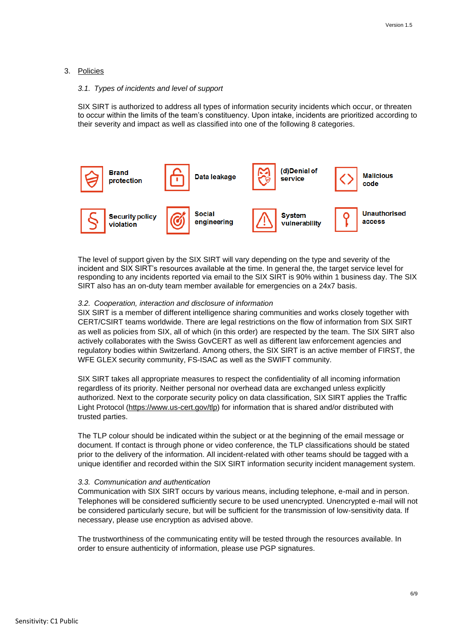## 3. Policies

#### *3.1. Types of incidents and level of support*

SIX SIRT is authorized to address all types of information security incidents which occur, or threaten to occur within the limits of the team's constituency. Upon intake, incidents are prioritized according to their severity and impact as well as classified into one of the following 8 categories.



The level of support given by the SIX SIRT will vary depending on the type and severity of the incident and SIX SIRT's resources available at the time. In general the, the target service level for responding to any incidents reported via email to the SIX SIRT is 90% within 1 business day. The SIX SIRT also has an on-duty team member available for emergencies on a 24x7 basis.

## *3.2. Cooperation, interaction and disclosure of information*

SIX SIRT is a member of different intelligence sharing communities and works closely together with CERT/CSIRT teams worldwide. There are legal restrictions on the flow of information from SIX SIRT as well as policies from SIX, all of which (in this order) are respected by the team. The SIX SIRT also actively collaborates with the Swiss GovCERT as well as different law enforcement agencies and regulatory bodies within Switzerland. Among others, the SIX SIRT is an active member of FIRST, the WFE GLEX security community, FS-ISAC as well as the SWIFT community.

SIX SIRT takes all appropriate measures to respect the confidentiality of all incoming information regardless of its priority. Neither personal nor overhead data are exchanged unless explicitly authorized. Next to the corporate security policy on data classification, SIX SIRT applies the Traffic Light Protocol [\(https://www.us-cert.gov/tlp\)](https://www.us-cert.gov/tlp) for information that is shared and/or distributed with trusted parties.

The TLP colour should be indicated within the subject or at the beginning of the email message or document. If contact is through phone or video conference, the TLP classifications should be stated prior to the delivery of the information. All incident-related with other teams should be tagged with a unique identifier and recorded within the SIX SIRT information security incident management system.

#### *3.3. Communication and authentication*

Communication with SIX SIRT occurs by various means, including telephone, e-mail and in person. Telephones will be considered sufficiently secure to be used unencrypted. Unencrypted e-mail will not be considered particularly secure, but will be sufficient for the transmission of low-sensitivity data. If necessary, please use encryption as advised above.

The trustworthiness of the communicating entity will be tested through the resources available. In order to ensure authenticity of information, please use PGP signatures.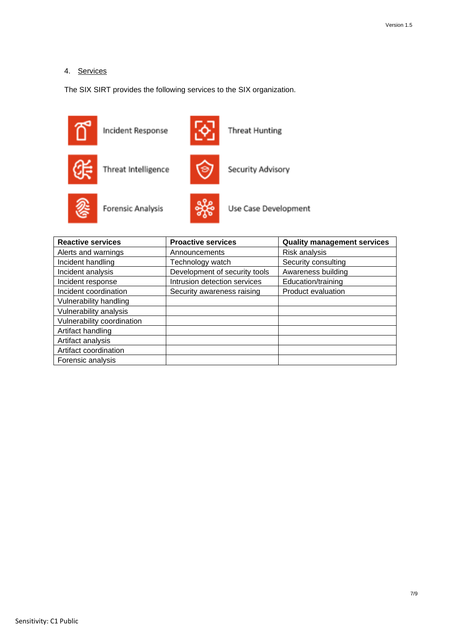# 4. Services

The SIX SIRT provides the following services to the SIX organization.



| <b>Reactive services</b>   | <b>Proactive services</b>     | <b>Quality management services</b> |
|----------------------------|-------------------------------|------------------------------------|
| Alerts and warnings        | Announcements                 | Risk analysis                      |
| Incident handling          | Technology watch              | Security consulting                |
| Incident analysis          | Development of security tools | Awareness building                 |
| Incident response          | Intrusion detection services  | Education/training                 |
| Incident coordination      | Security awareness raising    | Product evaluation                 |
| Vulnerability handling     |                               |                                    |
| Vulnerability analysis     |                               |                                    |
| Vulnerability coordination |                               |                                    |
| Artifact handling          |                               |                                    |
| Artifact analysis          |                               |                                    |
| Artifact coordination      |                               |                                    |
| Forensic analysis          |                               |                                    |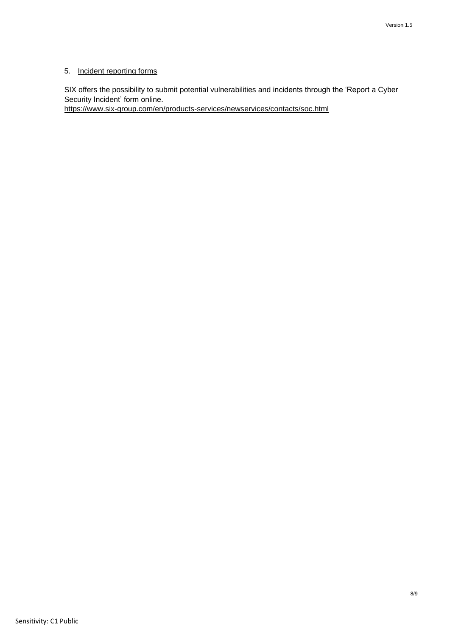# 5. Incident reporting forms

SIX offers the possibility to submit potential vulnerabilities and incidents through the 'Report a Cyber Security Incident' form online.

<https://www.six-group.com/en/products-services/newservices/contacts/soc.html>